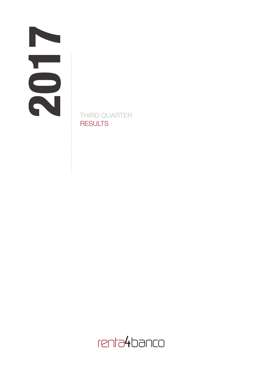. . . . . . . . . . .

**- - - - - - - - - - -** -

THIRD QUARTER **RESULTS** 

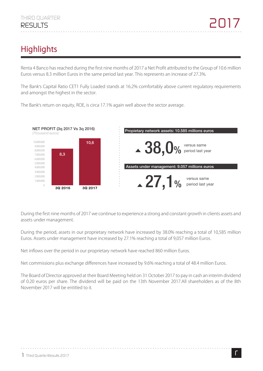# **Highlights**

Renta 4 Banco has reached during the first nine months of 2017 a Net Profit attributed to the Group of 10.6 million Euros versus 8.3 million Euros in the same period last year. This represents an increase of 27.3%.

The Bank's Capital Ratio CET1 Fully Loaded stands at 16.2% comfortably above current regulatory requirements and amongst the highest in the sector.

The Bank's return on equity, ROE, is circa 17.1% again well above the sector average.



During the first nine months of 2017 we continue to experience a strong and constant growth in clients assets and assets under management.

During the period, assets in our proprietary network have increased by 38.0% reaching a total of 10,585 million Euros. Assets under management have increased by 27.1% reaching a total of 9,057 million Euros.

Net inflows over the period in our proprietary network have reached 860 million Euros.

Net commissions plus exchange differences have increased by 9.6% reaching a total of 48.4 million Euros.

The Board of Director approved at their Board Meeting held on 31 October 2017 to pay in cash an interim dividend of 0.20 euros per share. The dividend will be paid on the 13th November 2017.All shareholders as of the 8th November 2017 will be entitled to it.

. . . . . . . . . . . . . . . . . .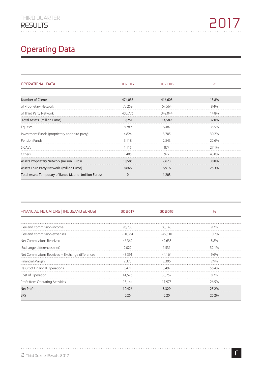# **Operating Data**

| OPERATIONAL DATA                                       | 30 2017  | 30 2016 | $\%$  |
|--------------------------------------------------------|----------|---------|-------|
|                                                        |          |         |       |
| <b>Number of Clients</b>                               | 474,035  | 416,608 | 13.8% |
| of Proprietary Network                                 | 73,259   | 67,564  | 8.4%  |
| of Third Party Network                                 | 400.776  | 349.044 | 148%  |
| Total Assets (million Euros)                           | 19,251   | 14,589  | 32.0% |
| Equities                                               | 8.789    | 6,487   | 35.5% |
| Investment Funds (proprietary and third party)         | 4.824    | 3.705   | 30.2% |
| Pension Funds                                          | 3.118    | 2.543   | 22.6% |
| <b>SICAVs</b>                                          | 1.115    | 877     | 27.1% |
| Others                                                 | 1.405    | 977     | 43.8% |
| Assets Proprietary Network (million Euros)             | 10,585   | 7,673   | 38.0% |
| Assets Third Party Network (million Euros)             | 8,666    | 6,916   | 25.3% |
| Total Assets Temporary of Banco Madrid (million Euros) | $\Omega$ | 1,203   |       |

| FINANCIAL INDICATORS (THOUSAND EUROS)           | 30 2017   | 302016    | %     |
|-------------------------------------------------|-----------|-----------|-------|
|                                                 |           |           |       |
| Fee and commission income                       | 96,733    | 88,143    | 97%   |
| Fee and commission expenses                     | $-50,364$ | $-45.510$ | 107%  |
| Net Commissions Received                        | 46,369    | 42,633    | 8.8%  |
| Exchange differences (net)                      | 2,022     | 1.531     | 32.1% |
| Net Commissions Received + Exchange differences | 48.391    | 44.164    | 96%   |
| Financial Margin                                | 2.373     | 2.306     | 2.9%  |
| Result of Financial Operations                  | 5.471     | 3.497     | 56.4% |
| Cost of Operation                               | 41.576    | 38.252    | 87%   |
| Profit from Operating Activities                | 15,144    | 11.973    | 26.5% |
| Net Profit                                      | 10,426    | 8.329     | 25.2% |
| EPS                                             | 0.26      | 0.20      | 25.2% |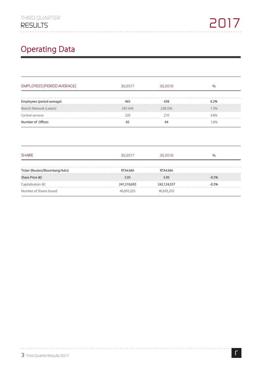# **Operating Data**

| <b>EMPLOYEES (PERIOD AVERAGE)</b> | 30 2017     | 30 2016     | $\frac{1}{2}$ |
|-----------------------------------|-------------|-------------|---------------|
|                                   |             |             |               |
| Employees (period average)        | 465         | 438         | 6.2%          |
| Branch Network (Latam)            | 245 (44)    | 228(34)     | 7.5%          |
| Central services                  | 220         | 210         | 4.8%          |
| Number of Offices                 | 65          | 64          | 1.6%          |
| <b>SHARE</b>                      | 30 2017     | 302016      | $\frac{1}{2}$ |
| Ticker (Reuters/Bloomberg/Adrs)   | RTA4.MA     | RTA4.MA     |               |
| Share Price (€)                   | 5.93        | 5.95        | $-0.3%$       |
| Capitalisation $(\epsilon)$       | 241,310,693 | 242,124,557 | $-0.3%$       |
|                                   |             |             |               |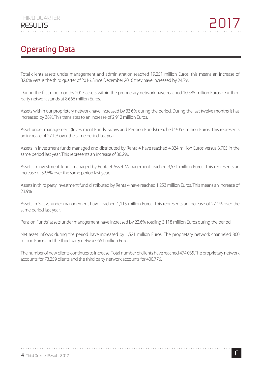## **Operating Data**

Total clients assets under management and administration reached 19,251 million Euros, this means an increase of 32.0% versus the third quarter of 2016. Since December 2016 they have increased by 24.7%

During the first nine months 2017 assets within the proprietary network have reached 10,585 million Euros. Our third party network stands at 8,666 million Euros.

Assets within our proprietary network have increased by 33.6% during the period. During the last twelve months it has increased by 38%.This translates to an increase of 2,912 million Euros.

Asset under management (Investment Funds, Sicavs and Pension Funds) reached 9,057 million Euros. This represents an increase of 27.1% over the same period last year.

Assets in investment funds managed and distributed by Renta 4 have reached 4,824 million Euros versus 3,705 in the same period last year. This represents an increase of 30.2%.

Assets in investment funds managed by Renta 4 Asset Management reached 3,571 million Euros. This represents an increase of 32.6% over the same period last year.

Assets in third party investment fund distributed by Renta 4 have reached 1,253 million Euros. This means an increase of 23.9%

Assets in Sicavs under management have reached 1,115 million Euros. This represents an increase of 27.1% over the same period last year.

Pension Funds' assets under management have increased by 22.6% totaling 3,118 million Euros during the period.

Net asset inflows during the period have increased by 1,521 million Euros. The proprietary network channeled 860 million Euros and the third party network 661 million Euros.

The number of new clients continues to increase. Total number of clients have reached 474,035.The proprietary network accounts for 73,259 clients and the third party network accounts for 400.776.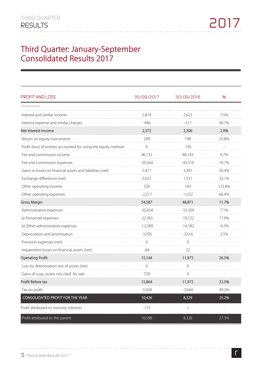#### **Third Quarter: January-September Consolidated Results 2017**

| PROFIT AND LOSS                                                 | 30/09/2017 | 30/09/2016   | %                        |
|-----------------------------------------------------------------|------------|--------------|--------------------------|
| Thousand of euros                                               |            |              |                          |
| Interest and similar income                                     | 2,819      | 2,623        | 7.5%                     |
| Interest expense and similar charges                            | $-446$     | $-317$       | 40.7%                    |
| Net Interest Income                                             | 2,373      | 2,306        | 2.9%                     |
| Return on equity instruments                                    | 249        | 198          | 25.8%                    |
| Profit (loss) of entities accounted for using the equity method | 0          | $-105$       |                          |
| Fee and commission income                                       | 96,733     | 88,143       | 9.7%                     |
| Fee and commission expenses                                     | $-50,364$  | $-45,510$    | 10.7%                    |
| Gains or losses on financial assets and liabilities (net)       | 5,471      | 3,497        | 56.4%                    |
| Exchange differences (net)                                      | 2,022      | 1,531        | 32.1%                    |
| Other operating income                                          | 320        | 143          | 123.8%                   |
| Other operating expenses                                        | $-2,217$   | $-1,332$     | 66.4%                    |
| <b>Gross Margin</b>                                             | 54,587     | 48,871       | 11.7%                    |
| Administrative expenses:                                        | $-35,654$  | $-33,304$    | 7.1%                     |
| a) Personnel expenses                                           | $-22,365$  | $-19,122$    | 17.0%                    |
| b) Other administrative expenses                                | $-13,289$  | $-14,182$    | $-6.3%$                  |
| Depreciation and amortisation                                   | $-3,705$   | $-3,616$     | 2.5%                     |
| Provision expenses (net)                                        | 0          | $\Omega$     |                          |
| Impairment losses on financial assets (net)                     | $-84$      | 22           |                          |
| <b>Operating Profit</b>                                         | 15,144     | 11,973       | 26.5%                    |
| Loss by deterioration rest of assets (net)                      | $\Omega$   | $\Omega$     |                          |
| Gains of susp. assets not clasif. for sale                      | 720        | $\mathbf{0}$ |                          |
| Profit Before tax                                               | 15,864     | 11,973       | 32.5%                    |
| Tax on profit                                                   | $-5,438$   | $-3,644$     | 49.2%                    |
| <b>CONSOLIDATED PROFIT FOR THE YEAR</b>                         | 10,426     | 8,329        | 25.2%                    |
| Profit attributed to minority interests                         | $-172$     | $\mathbf{1}$ | $\overline{\phantom{a}}$ |
| Profit attributed to the parent                                 | 10,598     | 8,328        | 27.3%                    |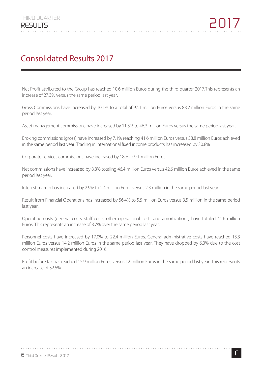### **Consolidated Results 2017**

Net Profit attributed to the Group has reached 10.6 million Euros during the third quarter 2017.This represents an increase of 27.3% versus the same period last year.

Gross Commissions have increased by 10.1% to a total of 97.1 million Euros versus 88.2 million Euros in the same period last year.

Asset management commissions have increased by 11.3% to 46.3 million Euros versus the same period last year.

Broking commissions (gross) have increased by 7.1% reaching 41.6 million Euros versus 38.8 million Euros achieved in the same period last year. Trading in international fixed income products has increased by 30.8%

Corporate services commissions have increased by 18% to 9.1 million Euros.

Net commissions have increased by 8.8% totaling 46.4 million Euros versus 42.6 million Euros achieved in the same period last year.

Interest margin has increased by 2.9% to 2.4 million Euros versus 2.3 million in the same period last year.

Result from Financial Operations has increased by 56.4% to 5.5 million Euros versus 3.5 million in the same period last year.

Operating costs (general costs, staff costs, other operational costs and amortizations) have totaled 41.6 million Euros. This represents an increase of 8.7% over the same period last year.

Personnel costs have increased by 17.0% to 22.4 million Euros. General administrative costs have reached 13.3 million Euros versus 14.2 million Euros in the same period last year. They have dropped by 6.3% due to the cost control measures implemented during 2016.

Profit before tax has reached 15.9 million Euros versus 12 million Euros in the same period last year. This represents an increase of 32.5%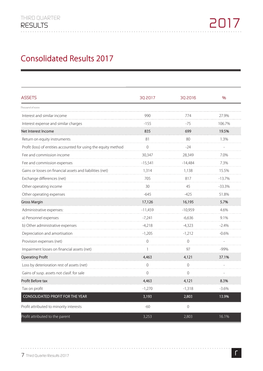### **Consolidated Results 2017**

| <b>ASSETS</b>                                                   | 30 2017   | 302016           | %        |
|-----------------------------------------------------------------|-----------|------------------|----------|
| Thousand of euros                                               |           |                  |          |
| Interest and similar income                                     | 990       | 774              | 27.9%    |
| Interest expense and similar charges                            | $-155$    | -75              | 106.7%   |
| Net Interest Income                                             | 835       | 699              | 19.5%    |
| Return on equity instruments                                    | 81        | 80               | 1.3%     |
| Profit (loss) of entities accounted for using the equity method | 0         | $-24$            |          |
| Fee and commission income                                       | 30,347    | 28,349           | 7.0%     |
| Fee and commission expenses                                     | $-15,541$ | $-14,484$        | 7.3%     |
| Gains or losses on financial assets and liabilities (net)       | 1,314     | 1,138            | 15.5%    |
| Exchange differences (net)                                      | 705       | 817              | $-13.7%$ |
| Other operating income                                          | 30        | 45               | $-33.3%$ |
| Other operating expenses                                        | $-645$    | $-425$           | 51.8%    |
| <b>Gross Margin</b>                                             | 17,126    | 16,195           | 5.7%     |
| Administrative expenses:                                        | $-11,459$ | $-10,959$        | 4.6%     |
| a) Personnel expenses                                           | $-7,241$  | $-6,636$         | 9.1%     |
| b) Other administrative expenses                                | $-4,218$  | $-4,323$         | $-2.4%$  |
| Depreciation and amortisation                                   | $-1,205$  | $-1,212$         | $-0.6\%$ |
| Provision expenses (net)                                        | $\Omega$  | $\Omega$<br>.    |          |
| Impairment losses on financial assets (net)                     |           | 97               | -99%     |
| <b>Operating Profit</b>                                         | 4,463     | 4,121            | 37.1%    |
| Loss by deterioration rest of assets (net)                      | $\Omega$  | $\Omega$         |          |
| Gains of susp. assets not clasif. for sale                      | $\Omega$  | $\Omega$         |          |
| Profit Before tax                                               | 4,463     | 4,121            | 8.3%     |
| Tax on profit                                                   | $-1,270$  | $-1,318$         | $-3.6%$  |
| <b>CONSOLIDATED PROFIT FOR THE YEAR</b>                         | 3,193     | 2,803            | 13.9%    |
| Profit attributed to minority interests                         | $-60$     | $\boldsymbol{0}$ |          |
| Profit attributed to the parent                                 | 3,253     | 2,803            | 16.1%    |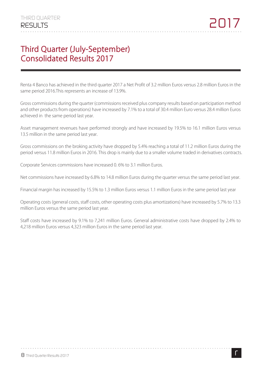#### **Third Quarter (July-September) Consolidated Results 2017**

Renta 4 Banco has achieved in the third quarter 2017 a Net Profit of 3.2 million Euros versus 2.8 million Euros in the same period 2016.This represents an increase of 13.9%.

Gross commissions during the quarter (commissions received plus company results based on participation method and other products from operations) have increased by 7.1% to a total of 30.4 million Euro versus 28.4 million Euros achieved in the same period last year.

Asset management revenues have performed strongly and have increased by 19.5% to 16.1 million Euros versus 13.5 million in the same period last year.

Gross commissions on the broking activity have dropped by 5.4% reaching a total of 11.2 million Euros during the period versus 11.8 million Euros in 2016. This drop is mainly due to a smaller volume traded in derivatives contracts.

Corporate Services commissions have increased 0. 6% to 3.1 million Euros.

Net commissions have increased by 6.8% to 14.8 million Euros during the quarter versus the same period last year.

Financial margin has increased by 15.5% to 1.3 million Euros versus 1.1 million Euros in the same period last year

Operating costs (general costs, staff costs, other operating costs plus amortizations) have increased by 5.7% to 13.3 million Euros versus the same period last year.

Staff costs have increased by 9.1% to 7,241 million Euros. General administrative costs have dropped by 2.4% to 4,218 million Euros versus 4,323 million Euros in the same period last year.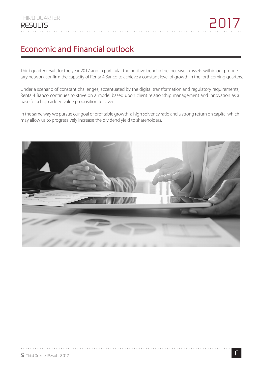### **Economic and Financial outlook**

Third quarter result for the year 2017 and in particular the positive trend in the increase in assets within our proprietary network confirm the capacity of Renta 4 Banco to achieve a constant level of growth in the forthcoming quarters.

Under a scenario of constant challenges, accentuated by the digital transformation and regulatory requirements, Renta 4 Banco continues to strive on a model based upon client relationship management and innovation as a base for a high added value proposition to savers.

In the same way we pursue our goal of profitable growth, a high solvency ratio and a strong return on capital which may allow us to progressively increase the dividend yield to shareholders.

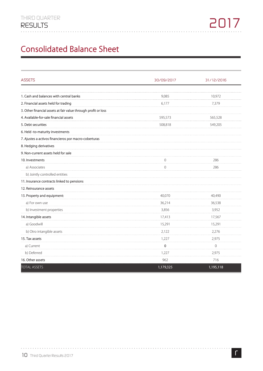### **Consolidated Balance Sheet**

| <b>ASSETS</b>                                                  | 30/09/2017   | 31/12/2016 |
|----------------------------------------------------------------|--------------|------------|
|                                                                |              |            |
| 1. Cash and balances with central banks                        | 9,085        | 10,972     |
| 2. Financial assets held for trading                           | 6,177        | 7,379      |
| 3. Other financial assets at fair value through profit or loss |              |            |
| 4. Available-for-sale financial assets                         | 595,573      | 565,528    |
| 5. Debt securities                                             | 508,818      | 549,205    |
| 6. Held -to-maturity investments                               |              |            |
| 7. Ajustes a activos financieros por macro-coberturas          |              |            |
| 8. Hedging derivatives                                         |              |            |
| 9. Non-current assets held for sale                            |              |            |
| 10. Investments                                                | $\Omega$     | 286        |
| a) Associates                                                  | $\mathbf{0}$ | 286        |
| b) Jointly controlled entities                                 |              |            |
| 11. Insurance contracts linked to pensions                     |              |            |
| 12. Reinsurance assets                                         |              |            |
| 13. Property and equipment:                                    | 40,070       | 40,490     |
| a) For own use                                                 | 36,214       | 36,538     |
| b) Investment properties                                       | 3,856        | 3,952      |
| 14. Intangible assets                                          | 17,413       | 17,567     |
| a) Goodwill                                                    | 15,291       | 15,291     |
| b) Otro intangible assets                                      | 2,122        | 2,276      |
| 15. Tax assets                                                 | 1,227        | 2,975      |
| a) Current                                                     | $\mathbf 0$  | $\Omega$   |
| b) Deferred                                                    | 1,227        | 2,975      |
| 16. Other assets                                               | 962          | 716        |
| <b>TOTAL ASSETS</b>                                            | 1,179,325    | 1,195,118  |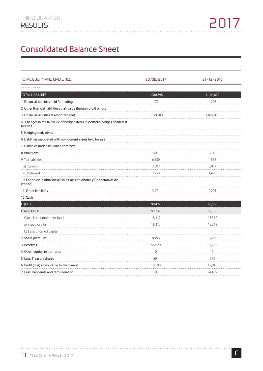### **Consolidated Balance Sheet**

| <b>TOTAL EQUITY AND LIABILITIES</b>                                                       | 30/09/2017     | 31/12/2016   |
|-------------------------------------------------------------------------------------------|----------------|--------------|
| Thousand of euros                                                                         |                |              |
| <b>TOTAL LIABILITIES</b>                                                                  | 1,080,898      | 1,104,612    |
| 1. Financial liabilities held for trading                                                 | 177            | 4,205        |
| 2. Other financial liabilities at fair value through profit or loss                       |                |              |
| 3. Financial liabilities at amortized cost                                                | 1,050,280      | 1,092,883    |
| 4. Changes in the fair value of hedged items in portfolio hedges of interest<br>rate risk |                |              |
| 5. Hedging derivatives                                                                    |                |              |
| 6. Liabilities associated with non-current assets held for sale                           |                |              |
| 7. Liabilities under insurance contracts                                                  |                |              |
| 8. Provisions                                                                             | 500            | 700          |
| 9. Tax liabilities                                                                        | 6,150          | 4,533        |
| a) Current                                                                                | 3,897          | 3,077        |
| b) Deferred                                                                               | 2,253          | 1,456        |
| 10. Fondo de la obra social (sólo Cajas de Ahorro y Cooperativas de<br>crédito)           |                |              |
| 11. Other liabilities                                                                     | 3,471          | 2,291        |
| 12. Cash                                                                                  |                |              |
| <b>EQUITY</b>                                                                             | 98,427         | 90,506       |
| <b>OWN FUNDS</b>                                                                          | 95,732         | 89,100       |
| 1. Capital or endowment fund                                                              | 18,312         | 18,312       |
| a) Issued capital                                                                         | 18,312         | 18,312       |
| b) Less: uncalled capital                                                                 |                |              |
| 2. Share premium                                                                          | 8,496          | 8,496        |
| 3. Reserves                                                                               | 58,920         | 54,782       |
| 4. Other equity instruments                                                               | $\overline{0}$ | $\mathbf{0}$ |
| 5. Less: Treasury shares                                                                  | 594            | 370          |
| 6. Profit (loss) attributable to the parent                                               | 10,598         | 12,045       |
| 7. Less: Dividends and remuneration                                                       | $\overline{0}$ | $-4,165$     |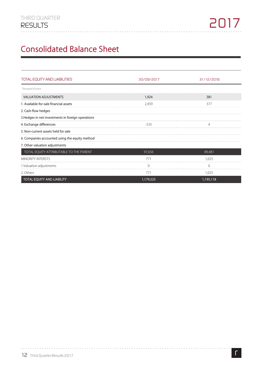## **Consolidated Balance Sheet**

| <b>TOTAL EQUITY AND LIABILITIES</b>                | 30/09/2017 | 31/12/2016 |
|----------------------------------------------------|------------|------------|
| Thousand of euros                                  |            |            |
| <b>VALUATION ADJUSTMENTS</b>                       | 1,924      | 381        |
| 1. Available-for-sale financial assets             | 2,459      | 377        |
| 2. Cash flow hedges                                |            |            |
| 3. Hedges in net investments in foreign operations |            |            |
| 4. Exchange differences                            | -535       |            |
| 5. Non-current assets held for sale                |            |            |
| 6. Companies accounted using the equity method     |            |            |
| 7. Other valuation adjustments                     |            |            |
| TOTAL EQUITY ATTRIBUTABLE TO THE PARENT            | 97,656     | 89,481     |
| <b>MINORITY INTERSTS</b>                           | 771        | 1.025      |
| 1. Valuation adjustments                           |            |            |
| 2. Others                                          | 771        | 1,025      |
| TOTAL EQUITY AND LIABILITY                         | 1,179,325  | 1,195,118  |